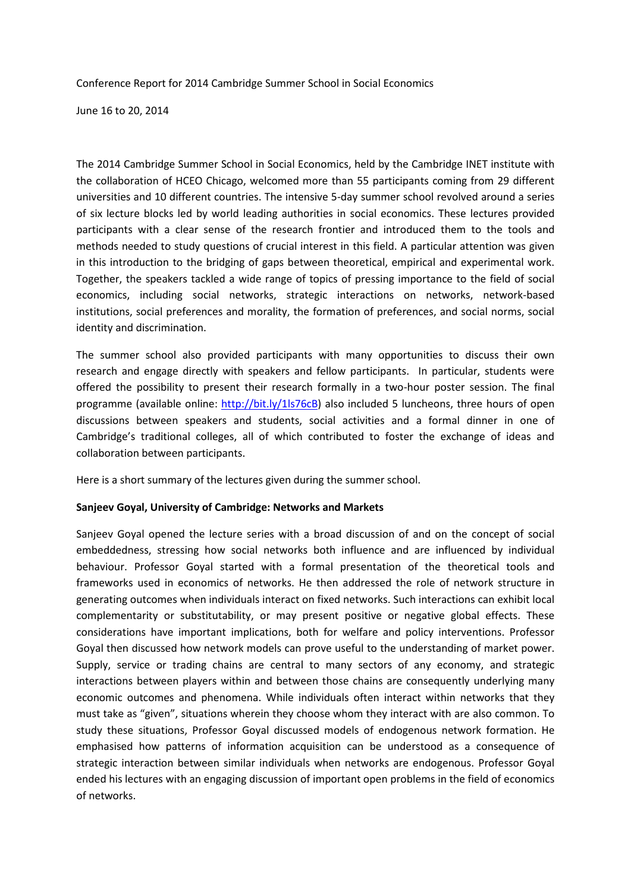Conference Report for 2014 Cambridge Summer School in Social Economics

June 16 to 20, 2014

The 2014 Cambridge Summer School in Social Economics, held by the Cambridge INET institute with the collaboration of HCEO Chicago, welcomed more than 55 participants coming from 29 different universities and 10 different countries. The intensive 5-day summer school revolved around a series of six lecture blocks led by world leading authorities in social economics. These lectures provided participants with a clear sense of the research frontier and introduced them to the tools and methods needed to study questions of crucial interest in this field. A particular attention was given in this introduction to the bridging of gaps between theoretical, empirical and experimental work. Together, the speakers tackled a wide range of topics of pressing importance to the field of social economics, including social networks, strategic interactions on networks, network-based institutions, social preferences and morality, the formation of preferences, and social norms, social identity and discrimination.

The summer school also provided participants with many opportunities to discuss their own research and engage directly with speakers and fellow participants. In particular, students were offered the possibility to present their research formally in a two-hour poster session. The final programme (available online: [http://bit.ly/1ls76cB\)](http://bit.ly/1ls76cB) also included 5 luncheons, three hours of open discussions between speakers and students, social activities and a formal dinner in one of Cambridge's traditional colleges, all of which contributed to foster the exchange of ideas and collaboration between participants.

Here is a short summary of the lectures given during the summer school.

# **Sanjeev Goyal, University of Cambridge: Networks and Markets**

Sanjeev Goyal opened the lecture series with a broad discussion of and on the concept of social embeddedness, stressing how social networks both influence and are influenced by individual behaviour. Professor Goyal started with a formal presentation of the theoretical tools and frameworks used in economics of networks. He then addressed the role of network structure in generating outcomes when individuals interact on fixed networks. Such interactions can exhibit local complementarity or substitutability, or may present positive or negative global effects. These considerations have important implications, both for welfare and policy interventions. Professor Goyal then discussed how network models can prove useful to the understanding of market power. Supply, service or trading chains are central to many sectors of any economy, and strategic interactions between players within and between those chains are consequently underlying many economic outcomes and phenomena. While individuals often interact within networks that they must take as "given", situations wherein they choose whom they interact with are also common. To study these situations, Professor Goyal discussed models of endogenous network formation. He emphasised how patterns of information acquisition can be understood as a consequence of strategic interaction between similar individuals when networks are endogenous. Professor Goyal ended his lectures with an engaging discussion of important open problems in the field of economics of networks.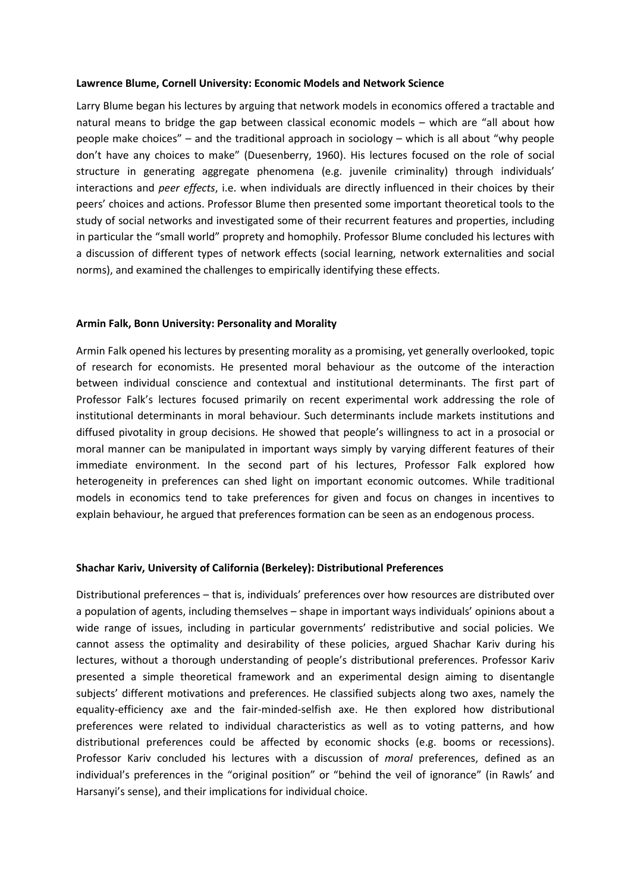## **Lawrence Blume, Cornell University: Economic Models and Network Science**

Larry Blume began his lectures by arguing that network models in economics offered a tractable and natural means to bridge the gap between classical economic models – which are "all about how people make choices" – and the traditional approach in sociology – which is all about "why people don't have any choices to make" (Duesenberry, 1960). His lectures focused on the role of social structure in generating aggregate phenomena (e.g. juvenile criminality) through individuals' interactions and *peer effects*, i.e. when individuals are directly influenced in their choices by their peers' choices and actions. Professor Blume then presented some important theoretical tools to the study of social networks and investigated some of their recurrent features and properties, including in particular the "small world" proprety and homophily. Professor Blume concluded his lectures with a discussion of different types of network effects (social learning, network externalities and social norms), and examined the challenges to empirically identifying these effects.

#### **Armin Falk, Bonn University: Personality and Morality**

Armin Falk opened his lectures by presenting morality as a promising, yet generally overlooked, topic of research for economists. He presented moral behaviour as the outcome of the interaction between individual conscience and contextual and institutional determinants. The first part of Professor Falk's lectures focused primarily on recent experimental work addressing the role of institutional determinants in moral behaviour. Such determinants include markets institutions and diffused pivotality in group decisions. He showed that people's willingness to act in a prosocial or moral manner can be manipulated in important ways simply by varying different features of their immediate environment. In the second part of his lectures, Professor Falk explored how heterogeneity in preferences can shed light on important economic outcomes. While traditional models in economics tend to take preferences for given and focus on changes in incentives to explain behaviour, he argued that preferences formation can be seen as an endogenous process.

### **Shachar Kariv, University of California (Berkeley): Distributional Preferences**

Distributional preferences – that is, individuals' preferences over how resources are distributed over a population of agents, including themselves – shape in important ways individuals' opinions about a wide range of issues, including in particular governments' redistributive and social policies. We cannot assess the optimality and desirability of these policies, argued Shachar Kariv during his lectures, without a thorough understanding of people's distributional preferences. Professor Kariv presented a simple theoretical framework and an experimental design aiming to disentangle subjects' different motivations and preferences. He classified subjects along two axes, namely the equality-efficiency axe and the fair-minded-selfish axe. He then explored how distributional preferences were related to individual characteristics as well as to voting patterns, and how distributional preferences could be affected by economic shocks (e.g. booms or recessions). Professor Kariv concluded his lectures with a discussion of *moral* preferences, defined as an individual's preferences in the "original position" or "behind the veil of ignorance" (in Rawls' and Harsanyi's sense), and their implications for individual choice.